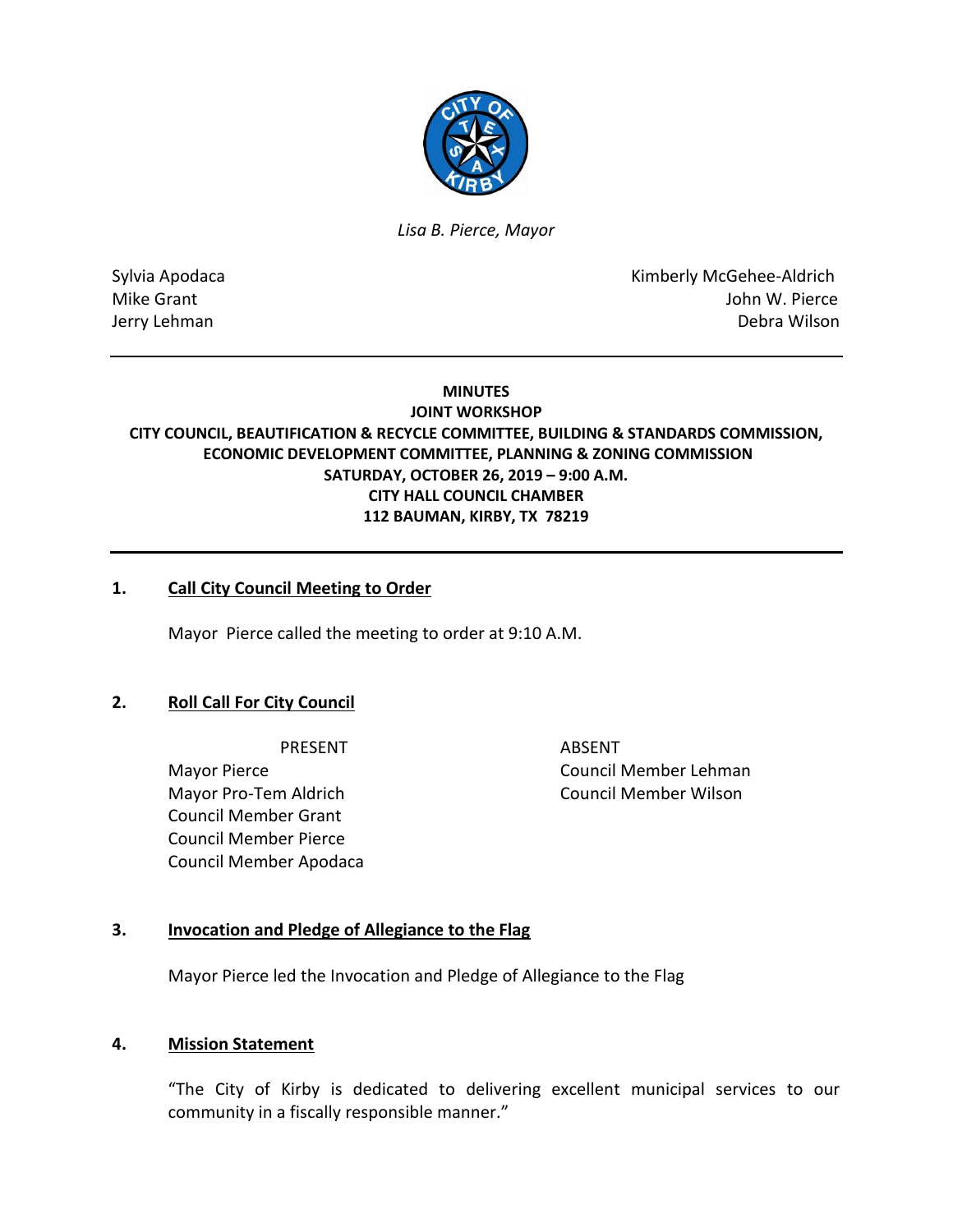

*Lisa B. Pierce, Mayor* 

Sylvia Apodaca **Kimberly McGehee-Aldrich** Mike Grant **Mike Grant** John W. Pierce Jerry Lehman Debra Wilson

### **MINUTES**

## **JOINT WORKSHOP CITY COUNCIL, BEAUTIFICATION & RECYCLE COMMITTEE, BUILDING & STANDARDS COMMISSION, ECONOMIC DEVELOPMENT COMMITTEE, PLANNING & ZONING COMMISSION SATURDAY, OCTOBER 26, 2019 – 9:00 A.M. CITY HALL COUNCIL CHAMBER 112 BAUMAN, KIRBY, TX 78219**

## **1. Call City Council Meeting to Order**

Mayor Pierce called the meeting to order at 9:10 A.M.

## **2. Roll Call For City Council**

PRESENT ABSENT

Mayor Pierce Council Member Lehman Mayor Pro-Tem Aldrich Council Member Wilson Council Member Grant Council Member Pierce Council Member Apodaca

### **3. Invocation and Pledge of Allegiance to the Flag**

Mayor Pierce led the Invocation and Pledge of Allegiance to the Flag

### **4. Mission Statement**

"The City of Kirby is dedicated to delivering excellent municipal services to our community in a fiscally responsible manner."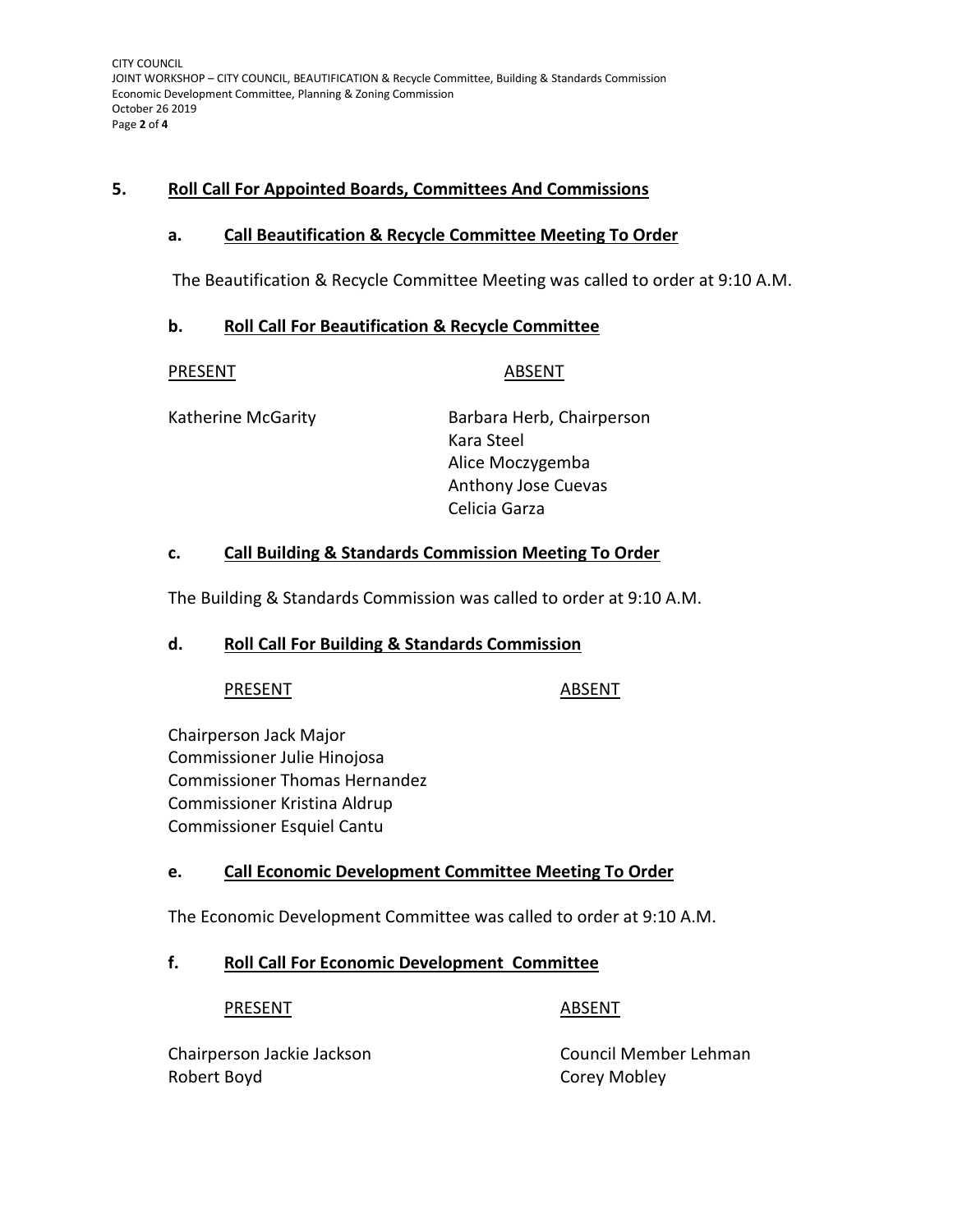CITY COUNCIL JOINT WORKSHOP – CITY COUNCIL, BEAUTIFICATION & Recycle Committee, Building & Standards Commission Economic Development Committee, Planning & Zoning Commission October 26 2019 Page **2** of **4**

## **5. Roll Call For Appointed Boards, Committees And Commissions**

## **a. Call Beautification & Recycle Committee Meeting To Order**

The Beautification & Recycle Committee Meeting was called to order at 9:10 A.M.

## **b. Roll Call For Beautification & Recycle Committee**

PRESENT ABSENT

Katherine McGarity **Barbara Herb, Chairperson** Kara Steel Alice Moczygemba Anthony Jose Cuevas Celicia Garza

## **c. Call Building & Standards Commission Meeting To Order**

The Building & Standards Commission was called to order at 9:10 A.M.

## **d. Roll Call For Building & Standards Commission**

## PRESENT ABSENT

Chairperson Jack Major Commissioner Julie Hinojosa Commissioner Thomas Hernandez Commissioner Kristina Aldrup Commissioner Esquiel Cantu

# **e. Call Economic Development Committee Meeting To Order**

The Economic Development Committee was called to order at 9:10 A.M.

# **f. Roll Call For Economic Development Committee**

## PRESENT ABSENT

Chairperson Jackie Jackson Council Member Lehman Robert Boyd **Corey Mobley**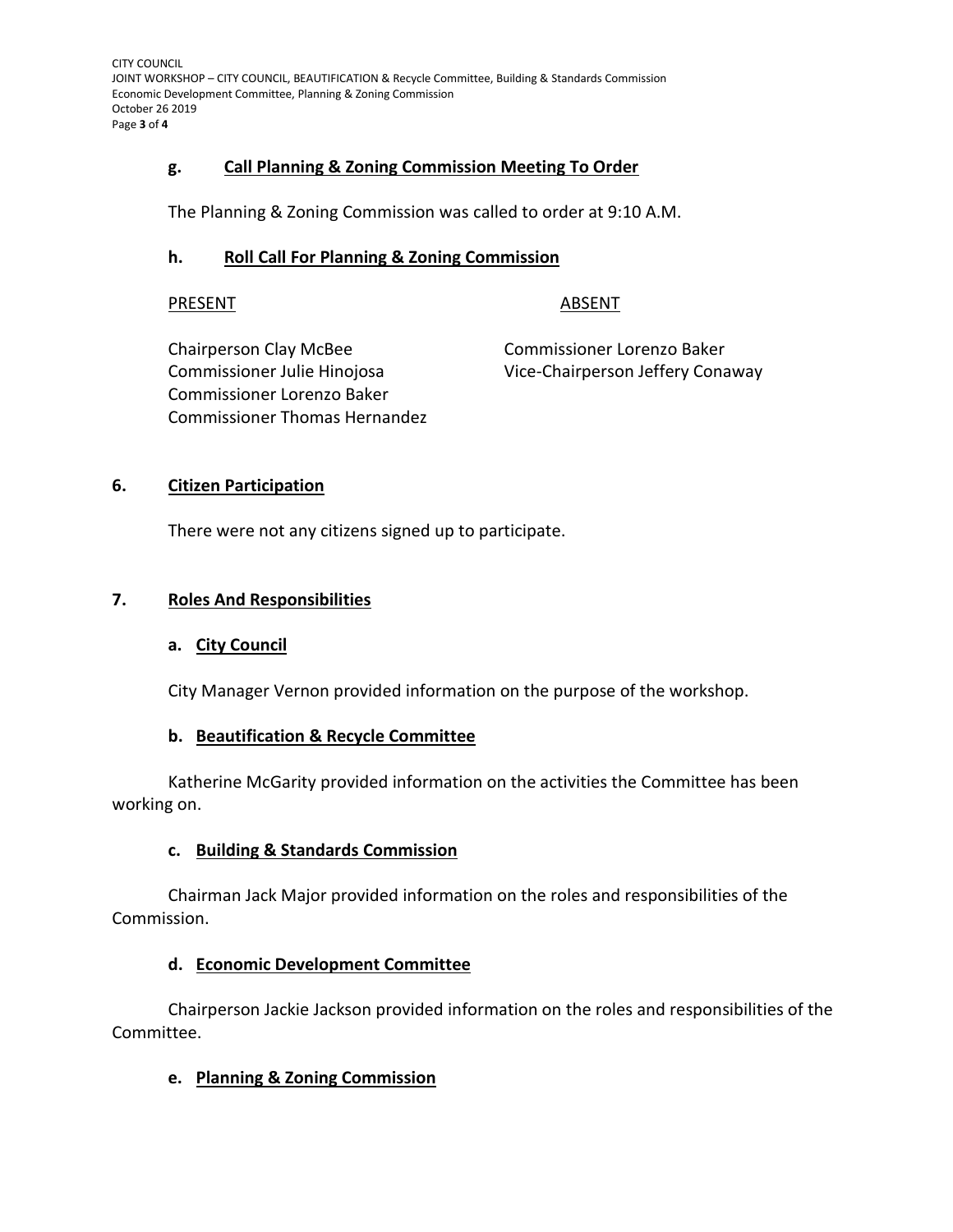CITY COUNCIL JOINT WORKSHOP – CITY COUNCIL, BEAUTIFICATION & Recycle Committee, Building & Standards Commission Economic Development Committee, Planning & Zoning Commission October 26 2019 Page **3** of **4**

## **g. Call Planning & Zoning Commission Meeting To Order**

The Planning & Zoning Commission was called to order at 9:10 A.M.

### **h. Roll Call For Planning & Zoning Commission**

### PRESENT ABSENT

Chairperson Clay McBee Commissioner Lorenzo Baker Commissioner Lorenzo Baker Commissioner Thomas Hernandez

Commissioner Julie Hinojosa Vice-Chairperson Jeffery Conaway

## **6. Citizen Participation**

There were not any citizens signed up to participate.

## **7. Roles And Responsibilities**

## **a. City Council**

City Manager Vernon provided information on the purpose of the workshop.

## **b. Beautification & Recycle Committee**

Katherine McGarity provided information on the activities the Committee has been working on.

## **c. Building & Standards Commission**

Chairman Jack Major provided information on the roles and responsibilities of the Commission.

## **d. Economic Development Committee**

Chairperson Jackie Jackson provided information on the roles and responsibilities of the Committee.

## **e. Planning & Zoning Commission**